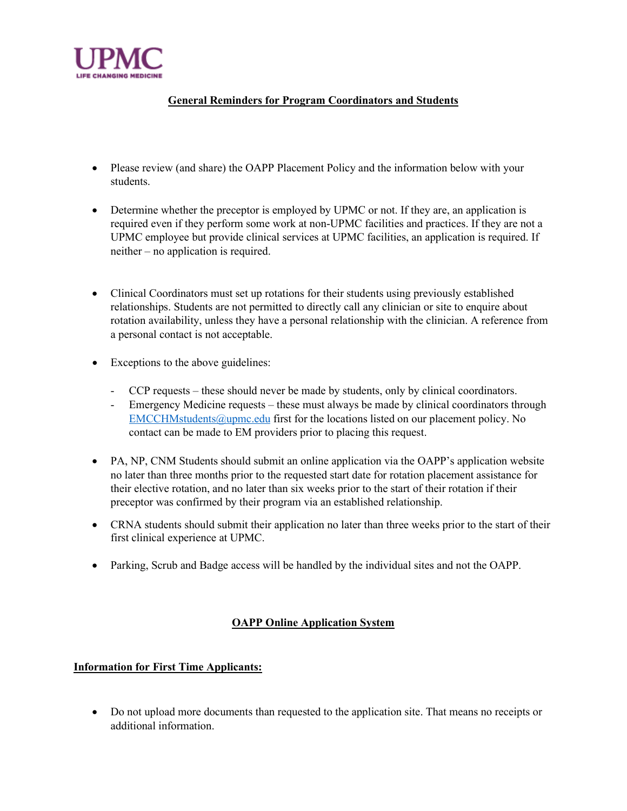

## **General Reminders for Program Coordinators and Students**

- Please review (and share) the OAPP Placement Policy and the information below with your students.
- Determine whether the preceptor is employed by UPMC or not. If they are, an application is required even if they perform some work at non-UPMC facilities and practices. If they are not a UPMC employee but provide clinical services at UPMC facilities, an application is required. If neither – no application is required.
- Clinical Coordinators must set up rotations for their students using previously established relationships. Students are not permitted to directly call any clinician or site to enquire about rotation availability, unless they have a personal relationship with the clinician. A reference from a personal contact is not acceptable.
- Exceptions to the above guidelines:
	- CCP requests these should never be made by students, only by clinical coordinators.
	- Emergency Medicine requests these must always be made by clinical coordinators through [EMCCHMstudents@upmc.edu](mailto:EMCCHMstudents@upmc.edu) first for the locations listed on our placement policy. No contact can be made to EM providers prior to placing this request.
- PA, NP, CNM Students should submit an online application via the OAPP's application website no later than three months prior to the requested start date for rotation placement assistance for their elective rotation, and no later than six weeks prior to the start of their rotation if their preceptor was confirmed by their program via an established relationship.
- CRNA students should submit their application no later than three weeks prior to the start of their first clinical experience at UPMC.
- Parking, Scrub and Badge access will be handled by the individual sites and not the OAPP.

## **OAPP Online Application System**

## **Information for First Time Applicants:**

• Do not upload more documents than requested to the application site. That means no receipts or additional information.